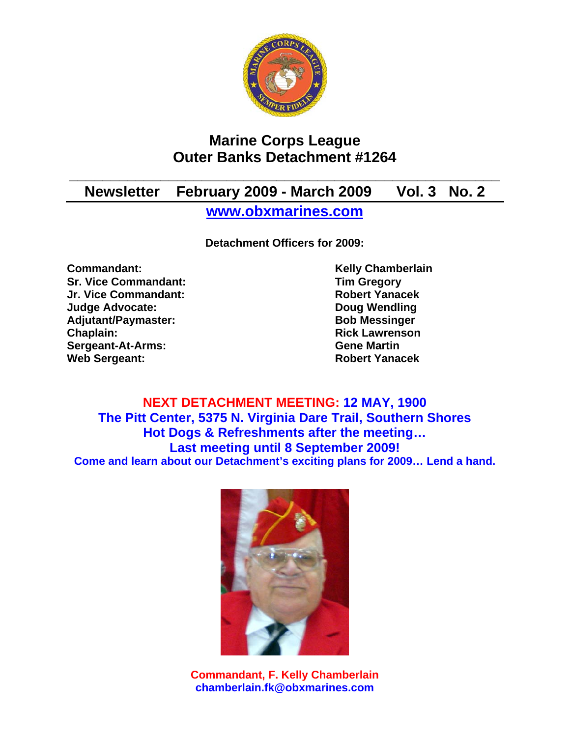

# **Marine Corps League Outer Banks Detachment #1264**

# **\_\_\_\_\_\_\_\_\_\_\_\_\_\_\_\_\_\_\_\_\_\_\_\_\_\_\_\_\_\_\_\_\_\_\_\_\_\_\_\_\_\_\_\_\_\_\_\_\_\_\_\_ Newsletter February 2009 - March 2009 Vol. 3 No. 2**

**www.obxmarines.com**

**Detachment Officers for 2009:** 

**Commandant:** Kelly Chamberlain **Sr. Vice Commandant:** Tim Gregory<br>
Jr. Vice Commandant: The School of The Robert Yanacek **Jr. Vice Commandant: Judge Advocate: Doug Wendling**  Adjutant/Paymaster: Bob Messinger **Chaplain: Chaplain: Rick Lawrenson Sergeant-At-Arms: Gene Martin Web Sergeant: Robert Yanacek** 

**NEXT DETACHMENT MEETING: 12 MAY, 1900 The Pitt Center, 5375 N. Virginia Dare Trail, Southern Shores Hot Dogs & Refreshments after the meeting… Last meeting until 8 September 2009! Come and learn about our Detachment's exciting plans for 2009… Lend a hand.** 



**Commandant, F. Kelly Chamberlain chamberlain.fk@obxmarines.com**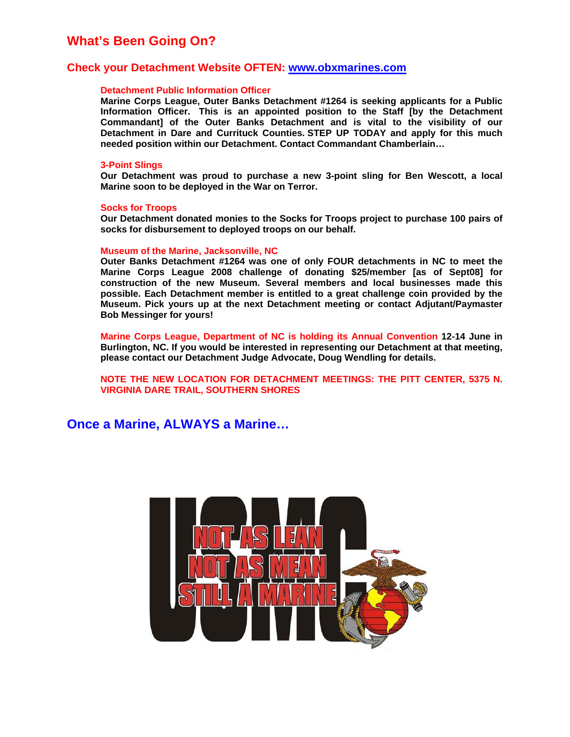## **What's Been Going On?**

#### **Check your Detachment Website OFTEN: www.obxmarines.com**

#### **Detachment Public Information Officer**

**Marine Corps League, Outer Banks Detachment #1264 is seeking applicants for a Public Information Officer. This is an appointed position to the Staff [by the Detachment Commandant] of the Outer Banks Detachment and is vital to the visibility of our Detachment in Dare and Currituck Counties. STEP UP TODAY and apply for this much needed position within our Detachment. Contact Commandant Chamberlain…** 

#### **3-Point Slings**

**Our Detachment was proud to purchase a new 3-point sling for Ben Wescott, a local Marine soon to be deployed in the War on Terror.** 

#### **Socks for Troops**

**Our Detachment donated monies to the Socks for Troops project to purchase 100 pairs of socks for disbursement to deployed troops on our behalf.** 

#### **Museum of the Marine, Jacksonville, NC**

**Outer Banks Detachment #1264 was one of only FOUR detachments in NC to meet the Marine Corps League 2008 challenge of donating \$25/member [as of Sept08] for construction of the new Museum. Several members and local businesses made this possible. Each Detachment member is entitled to a great challenge coin provided by the Museum. Pick yours up at the next Detachment meeting or contact Adjutant/Paymaster Bob Messinger for yours!** 

**Marine Corps League, Department of NC is holding its Annual Convention 12-14 June in Burlington, NC. If you would be interested in representing our Detachment at that meeting, please contact our Detachment Judge Advocate, Doug Wendling for details.** 

**NOTE THE NEW LOCATION FOR DETACHMENT MEETINGS: THE PITT CENTER, 5375 N. VIRGINIA DARE TRAIL, SOUTHERN SHORES** 

**Once a Marine, ALWAYS a Marine…** 

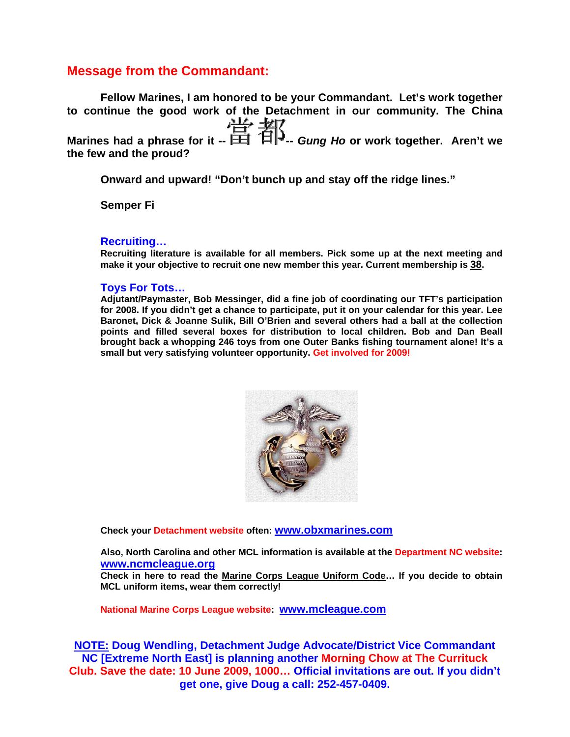## **Message from the Commandant:**

**Fellow Marines, I am honored to be your Commandant. Let's work together to continue the good work of the Detachment in our community. The China Marines had a phrase for it --**  $\frac{114}{111}$  <del>4</del><sup>1</sup> **the few and the proud?** 

**Onward and upward! "Don't bunch up and stay off the ridge lines."** 

**Semper Fi** 

#### **Recruiting…**

**Recruiting literature is available for all members. Pick some up at the next meeting and make it your objective to recruit one new member this year. Current membership is 38.** 

#### **Toys For Tots…**

**Adjutant/Paymaster, Bob Messinger, did a fine job of coordinating our TFT's participation for 2008. If you didn't get a chance to participate, put it on your calendar for this year. Lee Baronet, Dick & Joanne Sulik, Bill O'Brien and several others had a ball at the collection points and filled several boxes for distribution to local children. Bob and Dan Beall brought back a whopping 246 toys from one Outer Banks fishing tournament alone! It's a small but very satisfying volunteer opportunity. Get involved for 2009!**



**Check your Detachment website often: www.obxmarines.com**

**Also, North Carolina and other MCL information is available at the Department NC website: www.ncmcleague.org**

**Check in here to read the Marine Corps League Uniform Code… If you decide to obtain MCL uniform items, wear them correctly!** 

**National Marine Corps League website: www.mcleague.com**

**NOTE: Doug Wendling, Detachment Judge Advocate/District Vice Commandant NC [Extreme North East] is planning another Morning Chow at The Currituck Club. Save the date: 10 June 2009, 1000… Official invitations are out. If you didn't get one, give Doug a call: 252-457-0409.**